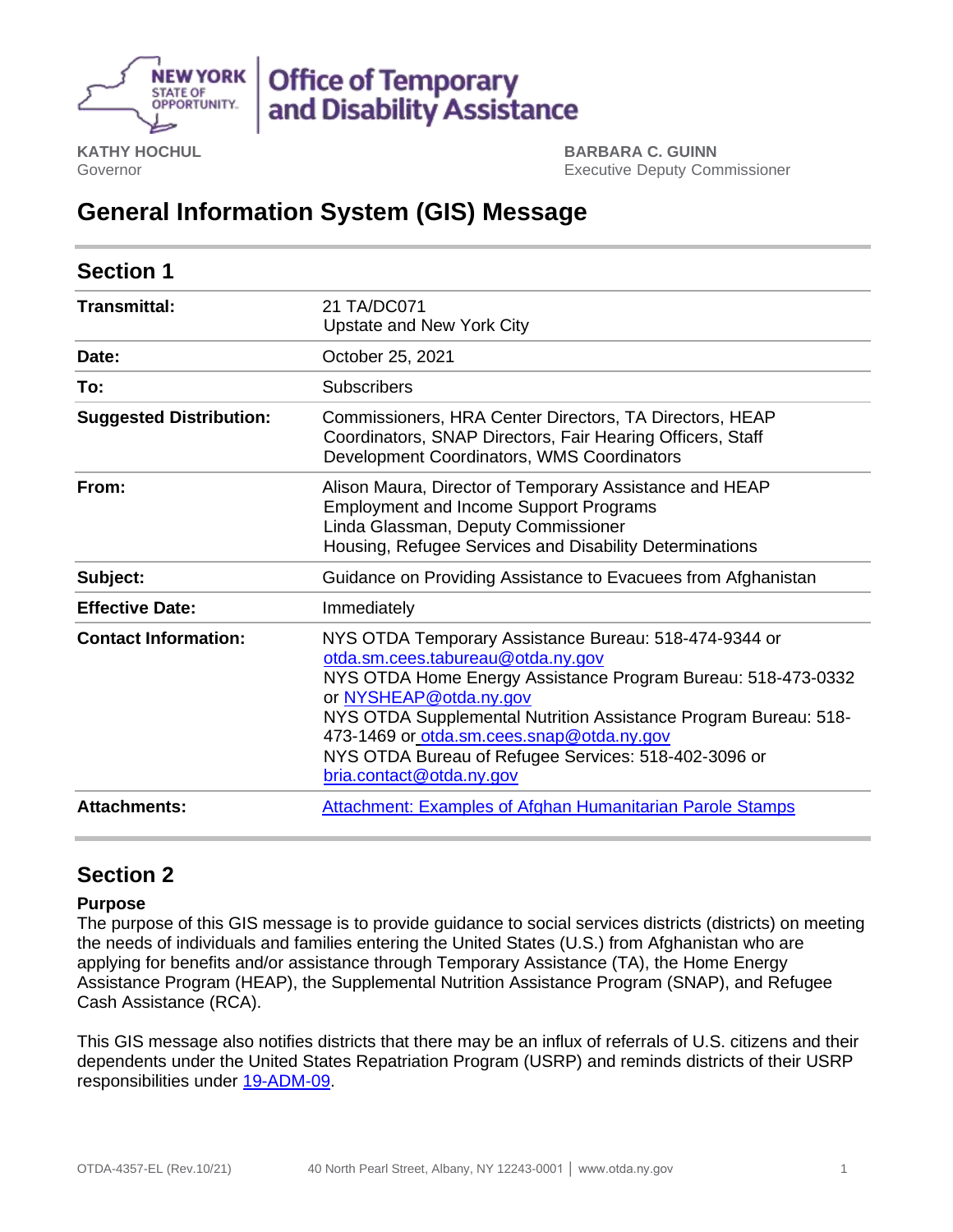

**KATHY HOCHUL** Governor

**BARBARA C. GUINN** Executive Deputy Commissioner

# **General Information System (GIS) Message**

| <b>Section 1</b>               |                                                                                                                                                                                                                                                                                                                                                                                          |
|--------------------------------|------------------------------------------------------------------------------------------------------------------------------------------------------------------------------------------------------------------------------------------------------------------------------------------------------------------------------------------------------------------------------------------|
| Transmittal:                   | 21 TA/DC071<br>Upstate and New York City                                                                                                                                                                                                                                                                                                                                                 |
| Date:                          | October 25, 2021                                                                                                                                                                                                                                                                                                                                                                         |
| To:                            | <b>Subscribers</b>                                                                                                                                                                                                                                                                                                                                                                       |
| <b>Suggested Distribution:</b> | Commissioners, HRA Center Directors, TA Directors, HEAP<br>Coordinators, SNAP Directors, Fair Hearing Officers, Staff<br>Development Coordinators, WMS Coordinators                                                                                                                                                                                                                      |
| From:                          | Alison Maura, Director of Temporary Assistance and HEAP<br><b>Employment and Income Support Programs</b><br>Linda Glassman, Deputy Commissioner<br>Housing, Refugee Services and Disability Determinations                                                                                                                                                                               |
| Subject:                       | Guidance on Providing Assistance to Evacuees from Afghanistan                                                                                                                                                                                                                                                                                                                            |
| <b>Effective Date:</b>         | Immediately                                                                                                                                                                                                                                                                                                                                                                              |
| <b>Contact Information:</b>    | NYS OTDA Temporary Assistance Bureau: 518-474-9344 or<br>otda.sm.cees.tabureau@otda.ny.gov<br>NYS OTDA Home Energy Assistance Program Bureau: 518-473-0332<br>or NYSHEAP@otda.ny.gov<br>NYS OTDA Supplemental Nutrition Assistance Program Bureau: 518-<br>473-1469 or otda.sm.cees.snap@otda.ny.gov<br>NYS OTDA Bureau of Refugee Services: 518-402-3096 or<br>bria.contact@otda.ny.gov |
| <b>Attachments:</b>            | <b>Attachment: Examples of Afghan Humanitarian Parole Stamps</b>                                                                                                                                                                                                                                                                                                                         |

# **Section 2**

# **Purpose**

The purpose of this GIS message is to provide guidance to social services districts (districts) on meeting the needs of individuals and families entering the United States (U.S.) from Afghanistan who are applying for benefits and/or assistance through Temporary Assistance (TA), the Home Energy Assistance Program (HEAP), the Supplemental Nutrition Assistance Program (SNAP), and Refugee Cash Assistance (RCA).

This GIS message also notifies districts that there may be an influx of referrals of U.S. citizens and their dependents under the United States Repatriation Program (USRP) and reminds districts of their USRP responsibilities under [19-ADM-09.](https://otda.ny.gov/policy/directives/2019/ADM/19-ADM-09.pdf)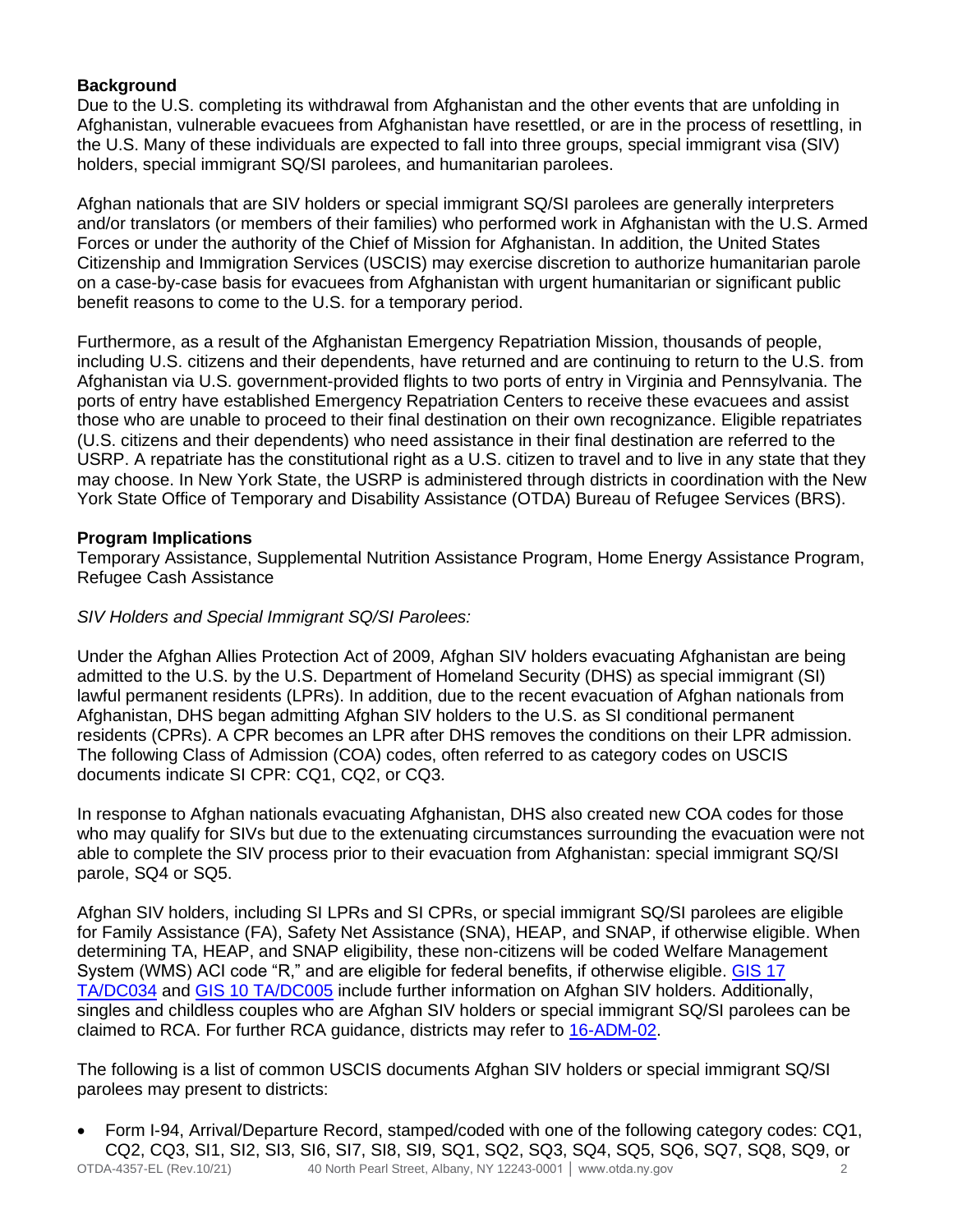# **Background**

Due to the U.S. completing its withdrawal from Afghanistan and the other events that are unfolding in Afghanistan, vulnerable evacuees from Afghanistan have resettled, or are in the process of resettling, in the U.S. Many of these individuals are expected to fall into three groups, special immigrant visa (SIV) holders, special immigrant SQ/SI parolees, and humanitarian parolees.

Afghan nationals that are SIV holders or special immigrant SQ/SI parolees are generally interpreters and/or translators (or members of their families) who performed work in Afghanistan with the U.S. Armed Forces or under the authority of the Chief of Mission for Afghanistan. In addition, the United States Citizenship and Immigration Services (USCIS) may exercise discretion to authorize humanitarian parole on a case-by-case basis for evacuees from Afghanistan with urgent humanitarian or significant public benefit reasons to come to the U.S. for a temporary period.

Furthermore, as a result of the Afghanistan Emergency Repatriation Mission, thousands of people, including U.S. citizens and their dependents, have returned and are continuing to return to the U.S. from Afghanistan via U.S. government-provided flights to two ports of entry in Virginia and Pennsylvania. The ports of entry have established Emergency Repatriation Centers to receive these evacuees and assist those who are unable to proceed to their final destination on their own recognizance. Eligible repatriates (U.S. citizens and their dependents) who need assistance in their final destination are referred to the USRP. A repatriate has the constitutional right as a U.S. citizen to travel and to live in any state that they may choose. In New York State, the USRP is administered through districts in coordination with the New York State Office of Temporary and Disability Assistance (OTDA) Bureau of Refugee Services (BRS).

# **Program Implications**

Temporary Assistance, Supplemental Nutrition Assistance Program, Home Energy Assistance Program, Refugee Cash Assistance

#### *SIV Holders and Special Immigrant SQ/SI Parolees:*

Under the Afghan Allies Protection Act of 2009, Afghan SIV holders evacuating Afghanistan are being admitted to the U.S. by the U.S. Department of Homeland Security (DHS) as special immigrant (SI) lawful permanent residents (LPRs). In addition, due to the recent evacuation of Afghan nationals from Afghanistan, DHS began admitting Afghan SIV holders to the U.S. as SI conditional permanent residents (CPRs). A CPR becomes an LPR after DHS removes the conditions on their LPR admission. The following Class of Admission (COA) codes, often referred to as category codes on USCIS documents indicate SI CPR: CQ1, CQ2, or CQ3.

In response to Afghan nationals evacuating Afghanistan, DHS also created new COA codes for those who may qualify for SIVs but due to the extenuating circumstances surrounding the evacuation were not able to complete the SIV process prior to their evacuation from Afghanistan: special immigrant SQ/SI parole, SQ4 or SQ5.

Afghan SIV holders, including SI LPRs and SI CPRs, or special immigrant SQ/SI parolees are eligible for Family Assistance (FA), Safety Net Assistance (SNA), HEAP, and SNAP, if otherwise eligible. When determining TA, HEAP, and SNAP eligibility, these non-citizens will be coded Welfare Management System (WMS) ACI code "R," and are eligible for federal benefits, if otherwise eligible. [GIS 17](https://otda.ny.gov/policy/gis/2017/17DC034.pdf)  [TA/DC034](https://otda.ny.gov/policy/gis/2017/17DC034.pdf) and [GIS 10 TA/DC005](http://otda.state.nyenet/dta/resources/gis/10dc005.pdf) include further information on Afghan SIV holders. Additionally, singles and childless couples who are Afghan SIV holders or special immigrant SQ/SI parolees can be claimed to RCA. For further RCA guidance, districts may refer to [16-ADM-02.](https://otda.ny.gov/policy/directives/2016/ADM/16-ADM-02.pdf)

The following is a list of common USCIS documents Afghan SIV holders or special immigrant SQ/SI parolees may present to districts:

OTDA-4357-EL (Rev.10/21) 40 North Pearl Street, Albany, NY 12243-0001 │ www.otda.ny.gov 2 • Form I-94, Arrival/Departure Record, stamped/coded with one of the following category codes: CQ1, CQ2, CQ3, SI1, SI2, SI3, SI6, SI7, SI8, SI9, SQ1, SQ2, SQ3, SQ4, SQ5, SQ6, SQ7, SQ8, SQ9, or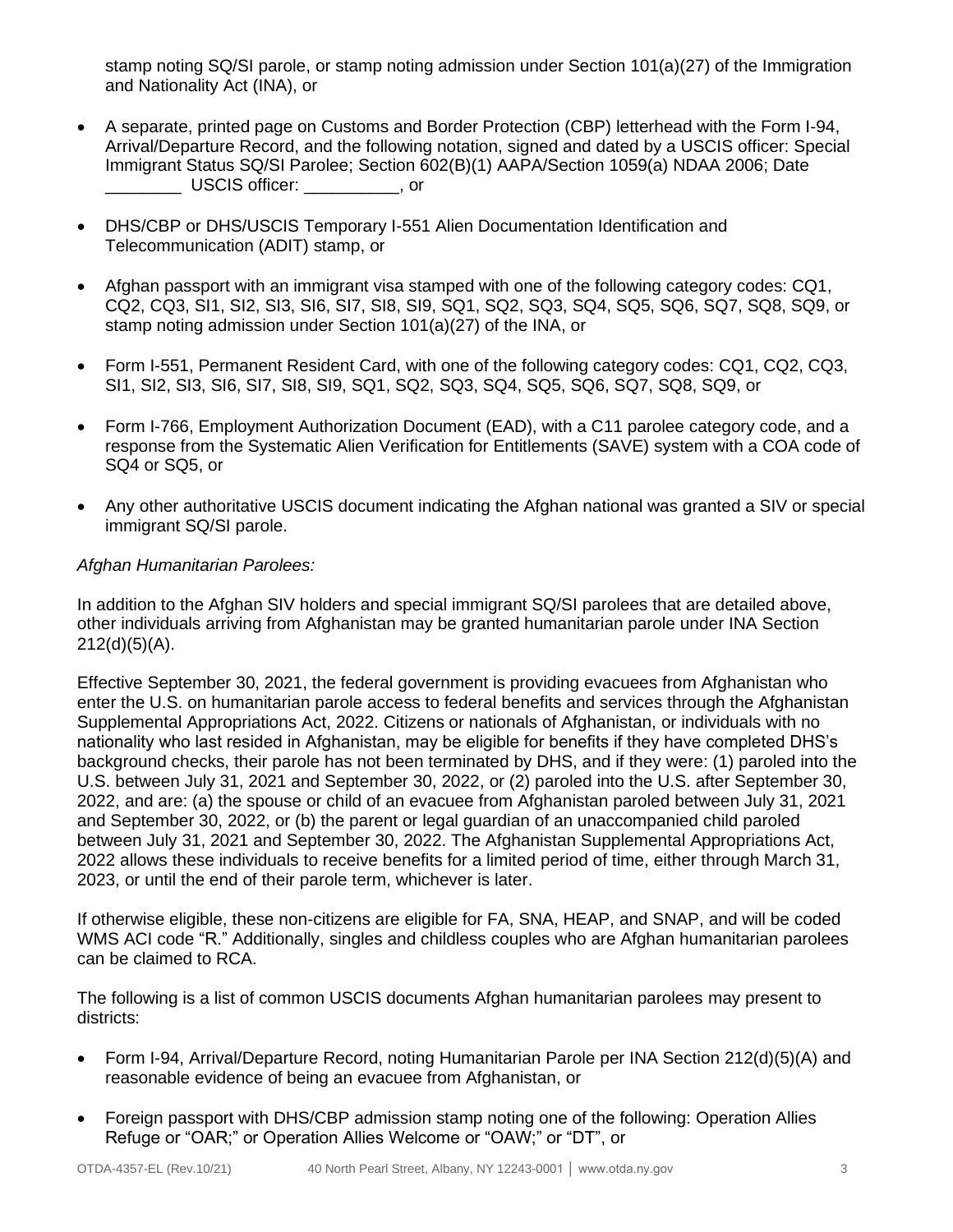stamp noting SQ/SI parole, or stamp noting admission under Section 101(a)(27) of the Immigration and Nationality Act (INA), or

- A separate, printed page on Customs and Border Protection (CBP) letterhead with the Form I-94, Arrival/Departure Record, and the following notation, signed and dated by a USCIS officer: Special Immigrant Status SQ/SI Parolee; Section 602(B)(1) AAPA/Section 1059(a) NDAA 2006; Date \_\_\_\_\_\_\_\_ USCIS officer: \_\_\_\_\_\_\_\_\_\_, or
- DHS/CBP or DHS/USCIS Temporary I-551 Alien Documentation Identification and Telecommunication (ADIT) stamp, or
- Afghan passport with an immigrant visa stamped with one of the following category codes: CQ1, CQ2, CQ3, SI1, SI2, SI3, SI6, SI7, SI8, SI9, SQ1, SQ2, SQ3, SQ4, SQ5, SQ6, SQ7, SQ8, SQ9, or stamp noting admission under Section 101(a)(27) of the INA, or
- Form I-551, Permanent Resident Card, with one of the following category codes: CQ1, CQ2, CQ3, SI1, SI2, SI3, SI6, SI7, SI8, SI9, SQ1, SQ2, SQ3, SQ4, SQ5, SQ6, SQ7, SQ8, SQ9, or
- Form I-766, Employment Authorization Document (EAD), with a C11 parolee category code, and a response from the Systematic Alien Verification for Entitlements (SAVE) system with a COA code of SQ4 or SQ5, or
- Any other authoritative USCIS document indicating the Afghan national was granted a SIV or special immigrant SQ/SI parole.

# *Afghan Humanitarian Parolees:*

In addition to the Afghan SIV holders and special immigrant SQ/SI parolees that are detailed above, other individuals arriving from Afghanistan may be granted humanitarian parole under INA Section  $212(d)(5)(A)$ .

Effective September 30, 2021, the federal government is providing evacuees from Afghanistan who enter the U.S. on humanitarian parole access to federal benefits and services through the Afghanistan Supplemental Appropriations Act, 2022. Citizens or nationals of Afghanistan, or individuals with no nationality who last resided in Afghanistan, may be eligible for benefits if they have completed DHS's background checks, their parole has not been terminated by DHS, and if they were: (1) paroled into the U.S. between July 31, 2021 and September 30, 2022, or (2) paroled into the U.S. after September 30, 2022, and are: (a) the spouse or child of an evacuee from Afghanistan paroled between July 31, 2021 and September 30, 2022, or (b) the parent or legal guardian of an unaccompanied child paroled between July 31, 2021 and September 30, 2022. The Afghanistan Supplemental Appropriations Act, 2022 allows these individuals to receive benefits for a limited period of time, either through March 31, 2023, or until the end of their parole term, whichever is later.

If otherwise eligible, these non-citizens are eligible for FA, SNA, HEAP, and SNAP, and will be coded WMS ACI code "R." Additionally, singles and childless couples who are Afghan humanitarian parolees can be claimed to RCA.

The following is a list of common USCIS documents Afghan humanitarian parolees may present to districts:

- Form I-94, Arrival/Departure Record, noting Humanitarian Parole per INA Section 212(d)(5)(A) and reasonable evidence of being an evacuee from Afghanistan, or
- Foreign passport with DHS/CBP admission stamp noting one of the following: Operation Allies Refuge or "OAR;" or Operation Allies Welcome or "OAW;" or "DT", or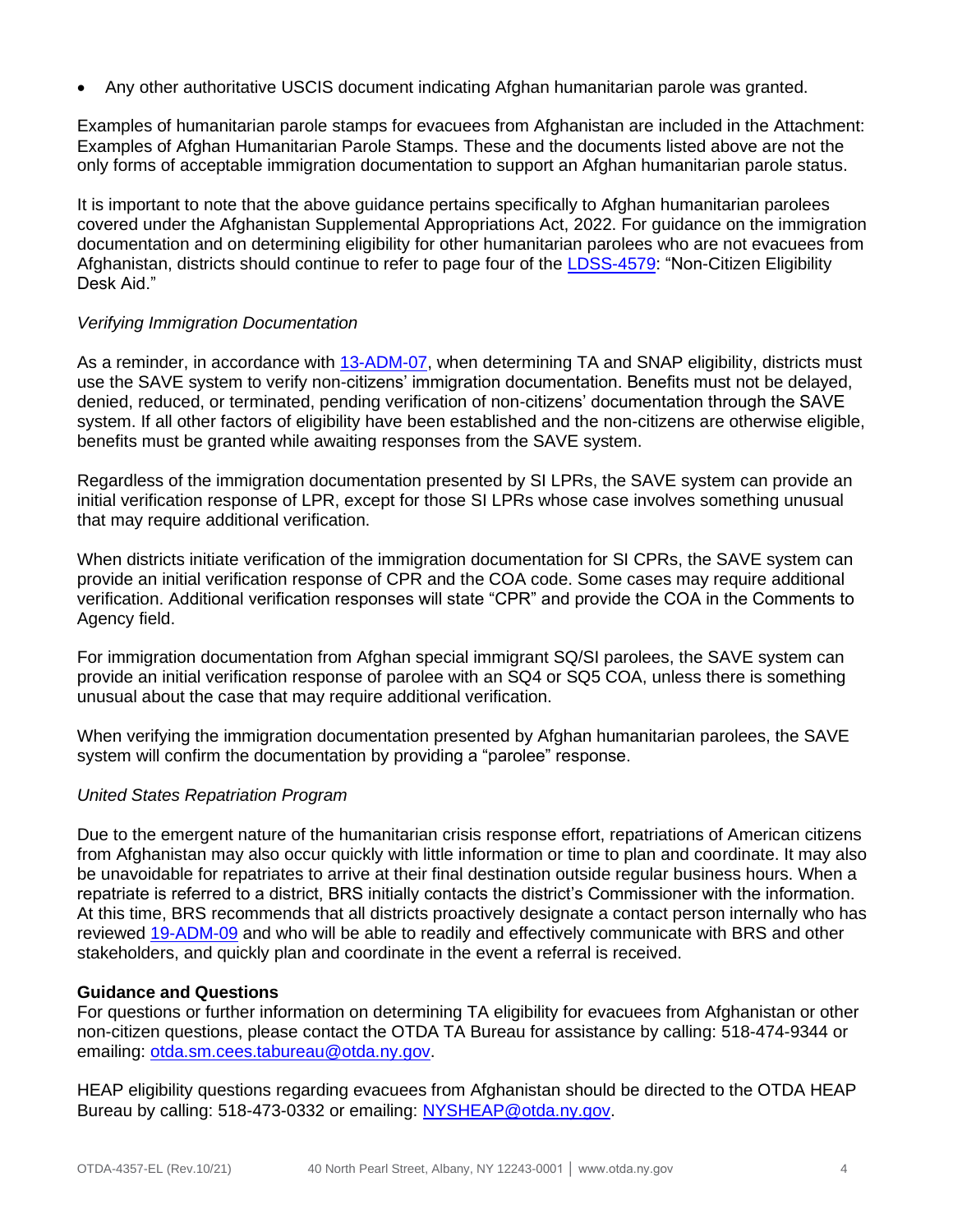• Any other authoritative USCIS document indicating Afghan humanitarian parole was granted.

Examples of humanitarian parole stamps for evacuees from Afghanistan are included in the Attachment: Examples of Afghan Humanitarian Parole Stamps. These and the documents listed above are not the only forms of acceptable immigration documentation to support an Afghan humanitarian parole status.

It is important to note that the above guidance pertains specifically to Afghan humanitarian parolees covered under the Afghanistan Supplemental Appropriations Act, 2022. For guidance on the immigration documentation and on determining eligibility for other humanitarian parolees who are not evacuees from Afghanistan, districts should continue to refer to page four of the [LDSS-4579:](https://otda.ny.gov/policy/directives/2019/INF/19-INF-07-Attachment-1.pdf) "Non-Citizen Eligibility Desk Aid."

#### *Verifying Immigration Documentation*

As a reminder, in accordance with [13-ADM-07,](https://otda.ny.gov/policy/directives/2013/ADM/13-ADM-07.pdf) when determining TA and SNAP eligibility, districts must use the SAVE system to verify non-citizens' immigration documentation. Benefits must not be delayed, denied, reduced, or terminated, pending verification of non-citizens' documentation through the SAVE system. If all other factors of eligibility have been established and the non-citizens are otherwise eligible, benefits must be granted while awaiting responses from the SAVE system.

Regardless of the immigration documentation presented by SI LPRs, the SAVE system can provide an initial verification response of LPR, except for those SI LPRs whose case involves something unusual that may require additional verification.

When districts initiate verification of the immigration documentation for SI CPRs, the SAVE system can provide an initial verification response of CPR and the COA code. Some cases may require additional verification. Additional verification responses will state "CPR" and provide the COA in the Comments to Agency field.

For immigration documentation from Afghan special immigrant SQ/SI parolees, the SAVE system can provide an initial verification response of parolee with an SQ4 or SQ5 COA, unless there is something unusual about the case that may require additional verification.

When verifying the immigration documentation presented by Afghan humanitarian parolees, the SAVE system will confirm the documentation by providing a "parolee" response.

# *United States Repatriation Program*

Due to the emergent nature of the humanitarian crisis response effort, repatriations of American citizens from Afghanistan may also occur quickly with little information or time to plan and coordinate. It may also be unavoidable for repatriates to arrive at their final destination outside regular business hours. When a repatriate is referred to a district, BRS initially contacts the district's Commissioner with the information. At this time, BRS recommends that all districts proactively designate a contact person internally who has reviewed [19-ADM-09](https://otda.ny.gov/policy/directives/2019/ADM/19-ADM-09.pdf) and who will be able to readily and effectively communicate with BRS and other stakeholders, and quickly plan and coordinate in the event a referral is received.

#### **Guidance and Questions**

For questions or further information on determining TA eligibility for evacuees from Afghanistan or other non-citizen questions, please contact the OTDA TA Bureau for assistance by calling: 518-474-9344 or emailing: [otda.sm.cees.tabureau@otda.ny.gov.](mailto:otda.sm.cees.tabureau@otda.ny.gov)

HEAP eligibility questions regarding evacuees from Afghanistan should be directed to the OTDA HEAP Bureau by calling: 518-473-0332 or emailing: [NYSHEAP@otda.ny.gov.](mailto:NYSHEAP@otda.ny.gov)